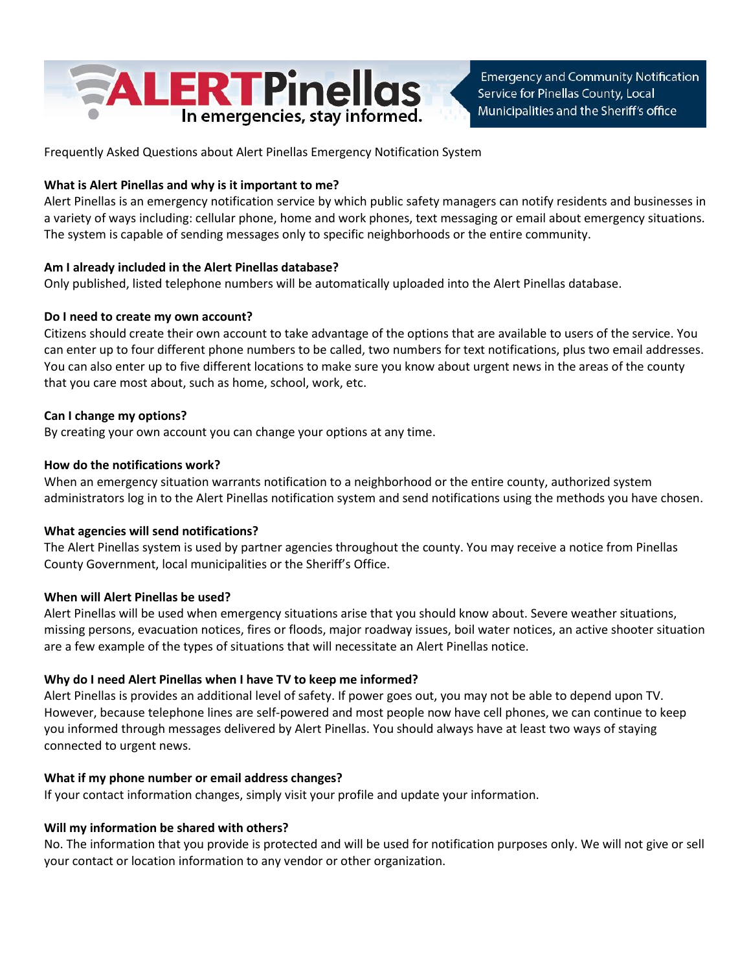

**Emergency and Community Notification** Service for Pinellas County, Local Municipalities and the Sheriff's office

Frequently Asked Questions about Alert Pinellas Emergency Notification System

## **What is Alert Pinellas and why is it important to me?**

Alert Pinellas is an emergency notification service by which public safety managers can notify residents and businesses in a variety of ways including: cellular phone, home and work phones, text messaging or email about emergency situations. The system is capable of sending messages only to specific neighborhoods or the entire community.

# **Am I already included in the Alert Pinellas database?**

Only published, listed telephone numbers will be automatically uploaded into the Alert Pinellas database.

## **Do I need to create my own account?**

Citizens should create their own account to take advantage of the options that are available to users of the service. You can enter up to four different phone numbers to be called, two numbers for text notifications, plus two email addresses. You can also enter up to five different locations to make sure you know about urgent news in the areas of the county that you care most about, such as home, school, work, etc.

## **Can I change my options?**

By creating your own account you can change your options at any time.

## **How do the notifications work?**

When an emergency situation warrants notification to a neighborhood or the entire county, authorized system administrators log in to the Alert Pinellas notification system and send notifications using the methods you have chosen.

### **What agencies will send notifications?**

The Alert Pinellas system is used by partner agencies throughout the county. You may receive a notice from Pinellas County Government, local municipalities or the Sheriff's Office.

### **When will Alert Pinellas be used?**

Alert Pinellas will be used when emergency situations arise that you should know about. Severe weather situations, missing persons, evacuation notices, fires or floods, major roadway issues, boil water notices, an active shooter situation are a few example of the types of situations that will necessitate an Alert Pinellas notice.

### **Why do I need Alert Pinellas when I have TV to keep me informed?**

Alert Pinellas is provides an additional level of safety. If power goes out, you may not be able to depend upon TV. However, because telephone lines are self-powered and most people now have cell phones, we can continue to keep you informed through messages delivered by Alert Pinellas. You should always have at least two ways of staying connected to urgent news.

### **What if my phone number or email address changes?**

If your contact information changes, simply visit your profile and update your information.

# **Will my information be shared with others?**

No. The information that you provide is protected and will be used for notification purposes only. We will not give or sell your contact or location information to any vendor or other organization.